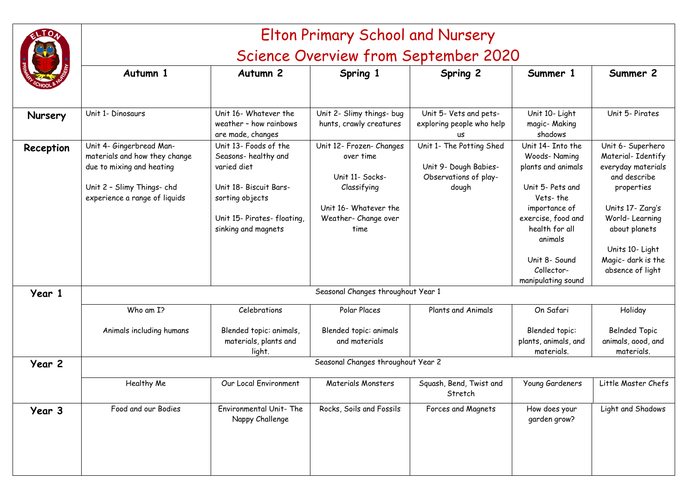| Autumn <sub>2</sub><br>Unit 16- Whatever the<br>weather - how rainbows                                                                                          | Spring 1<br>Unit 2- Slimy things- bug                                                                                            | Science Overview from September 2020<br>Spring 2                                    | Summer 1                                                                                                                                                                                   | Summer 2                                                                                                                                                                                                       |  |  |  |
|-----------------------------------------------------------------------------------------------------------------------------------------------------------------|----------------------------------------------------------------------------------------------------------------------------------|-------------------------------------------------------------------------------------|--------------------------------------------------------------------------------------------------------------------------------------------------------------------------------------------|----------------------------------------------------------------------------------------------------------------------------------------------------------------------------------------------------------------|--|--|--|
|                                                                                                                                                                 |                                                                                                                                  |                                                                                     |                                                                                                                                                                                            |                                                                                                                                                                                                                |  |  |  |
|                                                                                                                                                                 |                                                                                                                                  |                                                                                     |                                                                                                                                                                                            |                                                                                                                                                                                                                |  |  |  |
| are made, changes                                                                                                                                               | hunts, crawly creatures                                                                                                          | Unit 5- Vets and pets-<br>exploring people who help<br><b>US</b>                    | Unit 10- Light<br>magic- Making<br>shadows                                                                                                                                                 | Unit 5- Pirates                                                                                                                                                                                                |  |  |  |
| Unit 13- Foods of the<br>Seasons- healthy and<br>varied diet<br>Unit 18- Biscuit Bars-<br>sorting objects<br>Unit 15- Pirates- floating,<br>sinking and magnets | Unit 12- Frozen- Changes<br>over time<br>Unit 11- Socks-<br>Classifying<br>Unit 16- Whatever the<br>Weather- Change over<br>time | Unit 1- The Potting Shed<br>Unit 9- Dough Babies-<br>Observations of play-<br>dough | Unit 14- Into the<br>Woods-Naming<br>plants and animals<br>Unit 5- Pets and<br>Vets-the<br>importance of<br>exercise, food and<br>health for all<br>animals<br>Unit 8- Sound<br>Collector- | Unit 6- Superhero<br>Material-Identify<br>everyday materials<br>and describe<br>properties<br>Units 17- Zarg's<br>World-Learning<br>about planets<br>Units 10- Light<br>Magic- dark is the<br>absence of light |  |  |  |
| Seasonal Changes throughout Year 1                                                                                                                              |                                                                                                                                  |                                                                                     |                                                                                                                                                                                            |                                                                                                                                                                                                                |  |  |  |
| Celebrations                                                                                                                                                    | Polar Places                                                                                                                     | Plants and Animals                                                                  | On Safari                                                                                                                                                                                  | Holiday                                                                                                                                                                                                        |  |  |  |
| Blended topic: animals,<br>materials, plants and<br>light.                                                                                                      | Blended topic: animals<br>and materials                                                                                          |                                                                                     | Blended topic:<br>plants, animals, and<br>materials.                                                                                                                                       | <b>BeInded Topic</b><br>animals, aood, and<br>materials.                                                                                                                                                       |  |  |  |
| Seasonal Changes throughout Year 2<br>Year 2                                                                                                                    |                                                                                                                                  |                                                                                     |                                                                                                                                                                                            |                                                                                                                                                                                                                |  |  |  |
| Our Local Environment                                                                                                                                           | <b>Materials Monsters</b>                                                                                                        | Squash, Bend, Twist and<br>Stretch                                                  | Young Gardeners                                                                                                                                                                            | Little Master Chefs                                                                                                                                                                                            |  |  |  |
| Environmental Unit-The<br>Nappy Challenge                                                                                                                       | Rocks, Soils and Fossils                                                                                                         | Forces and Magnets                                                                  | How does your<br>garden grow?                                                                                                                                                              | Light and Shadows                                                                                                                                                                                              |  |  |  |
|                                                                                                                                                                 | materials and how they change<br>experience a range of liquids<br>Animals including humans                                       |                                                                                     |                                                                                                                                                                                            | manipulating sound                                                                                                                                                                                             |  |  |  |